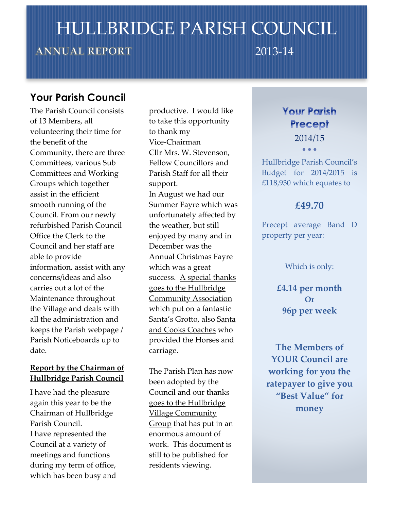# HULLBRIDGE PARISH COUNCIL

# **ANNUAL REPORT**

2013-14

# **Your Parish Council**

The Parish Council consists of 13 Members, all volunteering their time for the benefit of the Community, there are three Committees, various Sub Committees and Working Groups which together assist in the efficient smooth running of the Council. From our newly refurbished Parish Council Office the Clerk to the Council and her staff are able to provide information, assist with any concerns/ideas and also carries out a lot of the Maintenance throughout the Village and deals with all the administration and keeps the Parish webpage / Parish Noticeboards up to date.

# **Report by the Chairman of Hullbridge Parish Council**

I have had the pleasure again this year to be the Chairman of Hullbridge Parish Council. I have represented the Council at a variety of meetings and functions during my term of office, which has been busy and

productive. I would like to take this opportunity to thank my Vice-Chairman Cllr Mrs. W. Stevenson, Fellow Councillors and Parish Staff for all their support. In August we had our Summer Fayre which was unfortunately affected by the weather, but still enjoyed by many and in December was the Annual Christmas Fayre which was a great success. A special thanks goes to the Hullbridge Community Association which put on a fantastic Santa's Grotto, also Santa and Cooks Coaches who provided the Horses and carriage.

The Parish Plan has now been adopted by the Council and our thanks goes to the Hullbridge Village Community Group that has put in an enormous amount of work. This document is still to be published for residents viewing.

# **Your Parish Precept**

2014/15  $\bullet$   $\bullet$   $\bullet$ 

Hullbridge Parish Council's Budget for 2014/2015 is £118,930 which equates to

# **£49.70**

Precept average Band D property per year:

#### Which is only:

**£4.14 per month Or 96p per week**

**The Members of YOUR Council are working for you the ratepayer to give you "Best Value" for money**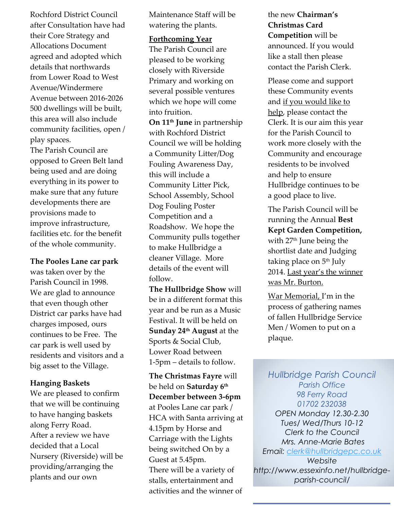Rochford District Council after Consultation have had their Core Strategy and Allocations Document agreed and adopted which details that northwards from Lower Road to West Avenue/Windermere Avenue between 2016-2026 500 dwellings will be built, this area will also include community facilities, open / play spaces.

The Parish Council are opposed to Green Belt land being used and are doing everything in its power to make sure that any future developments there are provisions made to improve infrastructure, facilities etc. for the benefit of the whole community.

**The Pooles Lane car park**

was taken over by the Parish Council in 1998. We are glad to announce that even though other District car parks have had charges imposed, ours continues to be Free. The car park is well used by residents and visitors and a big asset to the Village.

#### **Hanging Baskets**

We are pleased to confirm that we will be continuing to have hanging baskets along Ferry Road. After a review we have decided that a Local Nursery (Riverside) will be providing/arranging the plants and our own

Maintenance Staff will be watering the plants.

#### **Forthcoming Year**

The Parish Council are pleased to be working closely with Riverside Primary and working on several possible ventures which we hope will come into fruition. **On 11th June** in partnership with Rochford District Council we will be holding a Community Litter/Dog Fouling Awareness Day, this will include a Community Litter Pick, School Assembly, School Dog Fouling Poster

Competition and a Roadshow. We hope the Community pulls together to make Hullbridge a cleaner Village. More details of the event will follow.

**The Hullbridge Show** will be in a different format this year and be run as a Music Festival. It will be held on **Sunday 24th August** at the Sports & Social Club, Lower Road between 1-5pm – details to follow.

**The Christmas Fayre** will be held on **Saturday 6th December between 3-6pm** at Pooles Lane car park / HCA with Santa arriving at 4.15pm by Horse and Carriage with the Lights being switched On by a Guest at 5.45pm. There will be a variety of stalls, entertainment and activities and the winner of

the new **Chairman's Christmas Card Competition** will be announced. If you would like a stall then please contact the Parish Clerk.

Please come and support these Community events and if you would like to help, please contact the Clerk. It is our aim this year for the Parish Council to work more closely with the Community and encourage residents to be involved and help to ensure Hullbridge continues to be a good place to live.

The Parish Council will be running the Annual **Best Kept Garden Competition,** with 27th June being the shortlist date and Judging taking place on 5 th July 2014. Last year's the winner was Mr. Burton.

War Memorial, I'm in the process of gathering names of fallen Hullbridge Service Men / Women to put on a plaque.

*Hullbridge Parish Council Parish Office 98 Ferry Road 01702 232038 OPEN Monday 12.30-2.30 Tues/ Wed/Thurs 10-12 Clerk to the Council Mrs. Anne-Marie Bates Email: [clerk@hullbridgepc.co.uk](mailto:clerk@hullbridgepc.co.uk) Website http://www.essexinfo.net/hullbridgeparish-council/*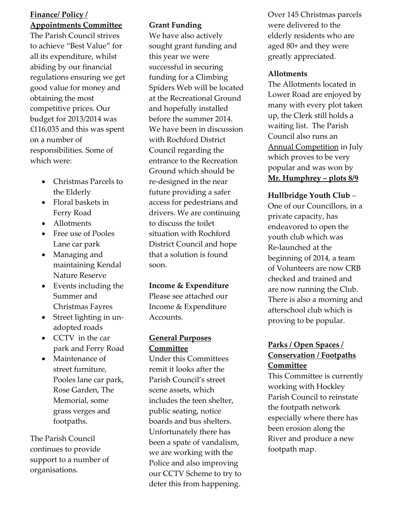## **Finance/ Policy / Appointments Committee**

The Parish Council strives to achieve "Best Value" for all its expenditure, whilst abiding by our financial regulations ensuring we get good value for money and obtaining the most competitive prices. Our budget for 2013/2014 was £116,035 and this was spent on a number of responsibilities. Some of which were:

- Christmas Parcels to the Elderly
- Floral baskets in Ferry Road
- Allotments
- Free use of Pooles Lane car park
- Managing and maintaining Kendal Nature Reserve
- Events including the Summer and Christmas Fayres
- Street lighting in unadopted roads
- CCTV in the car park and Ferry Road
- Maintenance of street furniture, Pooles lane car park, Rose Garden, The Memorial, some grass verges and footpaths.

The Parish Council continues to provide support to a number of organisations.

## **Grant Funding**

We have also actively sought grant funding and this year we were successful in securing funding for a Climbing Spiders Web will be located at the Recreational Ground and hopefully installed before the summer 2014. We have been in discussion with Rochford District Council regarding the entrance to the Recreation Ground which should be re-designed in the near future providing a safer access for pedestrians and drivers. We are continuing to discuss the toilet situation with Rochford District Council and hope that a solution is found soon.

#### **Income & Expenditure**

Please see attached our Income & Expenditure Accounts.

#### **General Purposes Committee**

Under this Committees remit it looks after the Parish Council's street scene assets, which includes the teen shelter, public seating, notice boards and bus shelters. Unfortunately there has been a spate of vandalism, we are working with the Police and also improving our CCTV Scheme to try to deter this from happening.

Over 145 Christmas parcels were delivered to the elderly residents who are aged 80+ and they were greatly appreciated.

#### **Allotments**

The Allotments located in Lower Road are enjoyed by many with every plot taken up, the Clerk still holds a waiting list. The Parish Council also runs an Annual Competition in July which proves to be very popular and was won by **Mr. Humphrey – plots 8/9**

#### **Hullbridge Youth Club** –

One of our Councillors, in a private capacity, has endeavored to open the youth club which was Re-launched at the beginning of 2014, a team of Volunteers are now CRB checked and trained and are now running the Club. There is also a morning and afterschool club which is proving to be popular.

## **Parks / Open Spaces / Conservation / Footpaths Committee**

This Committee is currently working with Hockley Parish Council to reinstate the footpath network especially where there has been erosion along the River and produce a new footpath map.